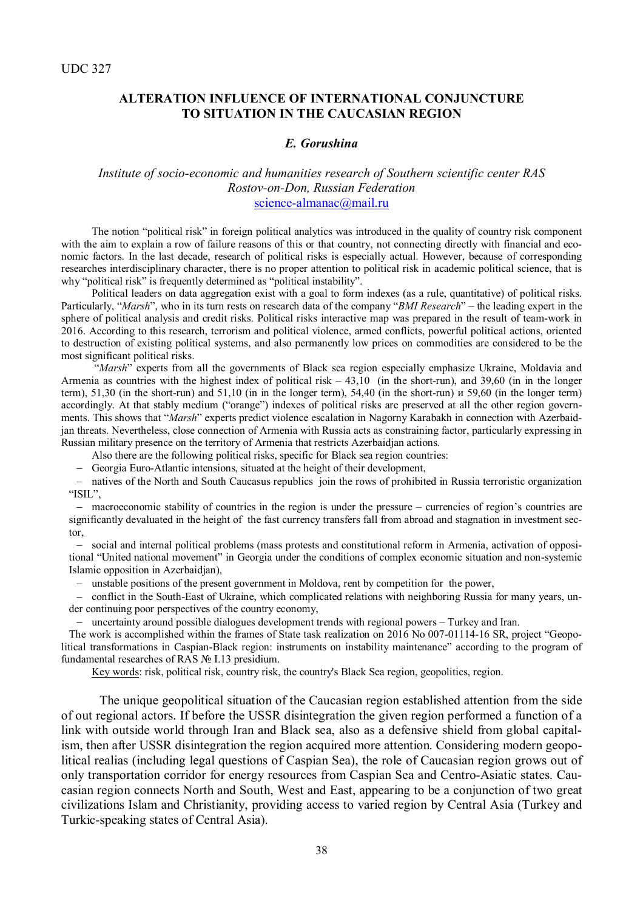# **ALTERATION INFLUENCE OF INTERNATIONAL CONJUNCTURE TO SITUATION IN THE CAUCASIAN REGION**

#### *E. Gorushina*

### *Institute of socio-economic and humanities research of Southern scientific center RAS Rostov-on-Don, Russian Federation* [science-almanac@mail.ru](mailto:science-almanac@mail.ru)

The notion "political risk" in foreign political analytics was introduced in the quality of country risk component with the aim to explain a row of failure reasons of this or that country, not connecting directly with financial and economic factors. In the last decade, research of political risks is especially actual. However, because of corresponding researches interdisciplinary character, there is no proper attention to political risk in academic political science, that is why "political risk" is frequently determined as "political instability".

Political leaders on data aggregation exist with a goal to form indexes (as a rule, quantitative) of political risks. Particularly, "*Marsh*", who in its turn rests on research data of the company "*BMI Research*" – the leading expert in the sphere of political analysis and credit risks. Political risks interactive map was prepared in the result of team-work in 2016. According to this research, terrorism and political violence, armed conflicts, powerful political actions, oriented to destruction of existing political systems, and also permanently low prices on commodities are considered to be the most significant political risks.

"*Marsh*" experts from all the governments of Black sea region especially emphasize Ukraine, Moldavia and Armenia as countries with the highest index of political risk  $-43,10$  (in the short-run), and 39,60 (in in the longer term), 51,30 (in the short-run) and 51,10 (in in the longer term), 54,40 (in the short-run) и 59,60 (in the longer term) accordingly. At that stably medium ("orange") indexes of political risks are preserved at all the other region governments. This shows that "*Marsh*" experts predict violence escalation in Nagorny Karabakh in connection with Azerbaidjan threats. Nevertheless, close connection of Armenia with Russia acts as constraining factor, particularly expressing in Russian military presence on the territory of Armenia that restricts Azerbaidjan actions.

Also there are the following political risks, specific for Black sea region countries:

Georgia Euro-Atlantic intensions, situated at the height of their development,

 natives of the North and South Caucasus republics join the rows of prohibited in Russia terroristic organization "ISIL",

 macroeconomic stability of countries in the region is under the pressure – currencies of region's countries are significantly devaluated in the height of the fast currency transfers fall from abroad and stagnation in investment sector,

 social and internal political problems (mass protests and constitutional reform in Armenia, activation of oppositional "United national movement" in Georgia under the conditions of complex economic situation and non-systemic Islamic opposition in Azerbaidjan),

unstable positions of the present government in Moldova, rent by competition for the power,

- conflict in the South-East of Ukraine, which complicated relations with neighboring Russia for many years, under continuing poor perspectives of the country economy,

uncertainty around possible dialogues development trends with regional powers – Turkey and Iran.

The work is accomplished within the frames of State task realization on 2016 No 007-01114-16 SR, project "Geopolitical transformations in Caspian-Black region: instruments on instability maintenance" according to the program of fundamental researches of RAS № I.13 presidium.

Key words: risk, political risk, country risk, the country's Black Sea region, geopolitics, region.

The unique geopolitical situation of the Caucasian region established attention from the side of out regional actors. If before the USSR disintegration the given region performed a function of a link with outside world through Iran and Black sea, also as a defensive shield from global capitalism, then after USSR disintegration the region acquired more attention. Considering modern geopolitical realias (including legal questions of Caspian Sea), the role of Caucasian region grows out of only transportation corridor for energy resources from Caspian Sea and Centro-Asiatic states. Caucasian region connects North and South, West and East, appearing to be a conjunction of two great civilizations Islam and Christianity, providing access to varied region by Central Asia (Turkey and Turkic-speaking states of Central Asia).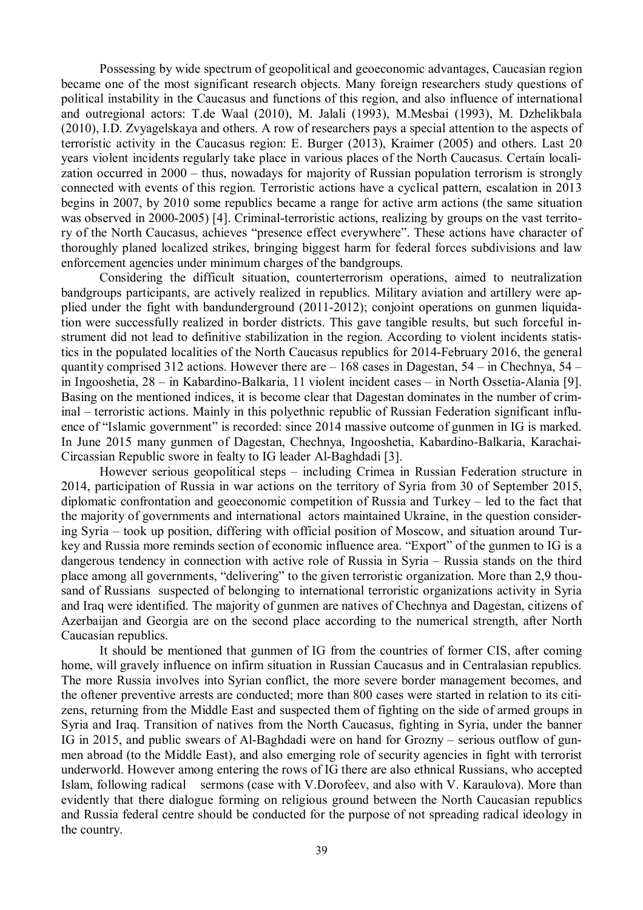Possessing by wide spectrum of geopolitical and geoeconomic advantages, Caucasian region became one of the most significant research objects. Many foreign researchers study questions of political instability in the Caucasus and functions of this region, and also influence of international and outregional actors: T.de Waal (2010), M. Jalali (1993), M.Mesbai (1993), M. Dzhelikbala (2010), I.D. Zvyagelskaya and others. A row of researchers pays a special attention to the aspects of terroristic activity in the Caucasus region: E. Burger (2013), Kraimer (2005) and others. Last 20 years violent incidents regularly take place in various places of the North Caucasus. Certain localization occurred in 2000 – thus, nowadays for majority of Russian population terrorism is strongly connected with events of this region. Terroristic actions have a cyclical pattern, escalation in 2013 begins in 2007, by 2010 some republics became a range for active arm actions (the same situation was observed in 2000-2005) [4]. Criminal-terroristic actions, realizing by groups on the vast territory of the North Caucasus, achieves "presence effect everywhere". These actions have character of thoroughly planed localized strikes, bringing biggest harm for federal forces subdivisions and law enforcement agencies under minimum charges of the bandgroups.

Considering the difficult situation, counterterrorism operations, aimed to neutralization bandgroups participants, are actively realized in republics. Military aviation and artillery were applied under the fight with bandunderground (2011-2012); conjoint operations on gunmen liquidation were successfully realized in border districts. This gave tangible results, but such forceful instrument did not lead to definitive stabilization in the region. According to violent incidents statistics in the populated localities of the North Caucasus republics for 2014-February 2016, the general quantity comprised 312 actions. However there are  $-168$  cases in Dagestan, 54 – in Chechnya, 54 – in Ingooshetia, 28 – in Kabardino-Balkaria, 11 violent incident cases – in North Ossetia-Alania [9]. Basing on the mentioned indices, it is become clear that Dagestan dominates in the number of criminal – terroristic actions. Mainly in this polyethnic republic of Russian Federation significant influence of "Islamic government" is recorded: since 2014 massive outcome of gunmen in IG is marked. In June 2015 many gunmen of Dagestan, Chechnya, Ingooshetia, Kabardino-Balkaria, Karachai-Circassian Republic swore in fealty to IG leader Al-Baghdadi [3].

However serious geopolitical steps – including Crimea in Russian Federation structure in 2014, participation of Russia in war actions on the territory of Syria from 30 of September 2015, diplomatic confrontation and geoeconomic competition of Russia and Turkey – led to the fact that the majority of governments and international actors maintained Ukraine, in the question considering Syria – took up position, differing with official position of Moscow, and situation around Turkey and Russia more reminds section of economic influence area. "Export" of the gunmen to IG is a dangerous tendency in connection with active role of Russia in Syria – Russia stands on the third place among all governments, "delivering" to the given terroristic organization. More than 2,9 thousand of Russians suspected of belonging to international terroristic organizations activity in Syria and Iraq were identified. The majority of gunmen are natives of Chechnya and Dagestan, citizens of Azerbaijan and Georgia are on the second place according to the numerical strength, after North Caucasian republics.

It should be mentioned that gunmen of IG from the countries of former CIS, after coming home, will gravely influence on infirm situation in Russian Caucasus and in Centralasian republics. The more Russia involves into Syrian conflict, the more severe border management becomes, and the oftener preventive arrests are conducted; more than 800 cases were started in relation to its citizens, returning from the Middle East and suspected them of fighting on the side of armed groups in Syria and Iraq. Transition of natives from the North Caucasus, fighting in Syria, under the banner IG in 2015, and public swears of Al-Baghdadi were on hand for Grozny – serious outflow of gunmen abroad (to the Middle East), and also emerging role of security agencies in fight with terrorist underworld. However among entering the rows of IG there are also ethnical Russians, who accepted Islam, following radical sermons (case with V.Dorofeev, and also with V. Karaulova). More than evidently that there dialogue forming on religious ground between the North Caucasian republics and Russia federal centre should be conducted for the purpose of not spreading radical ideology in the country.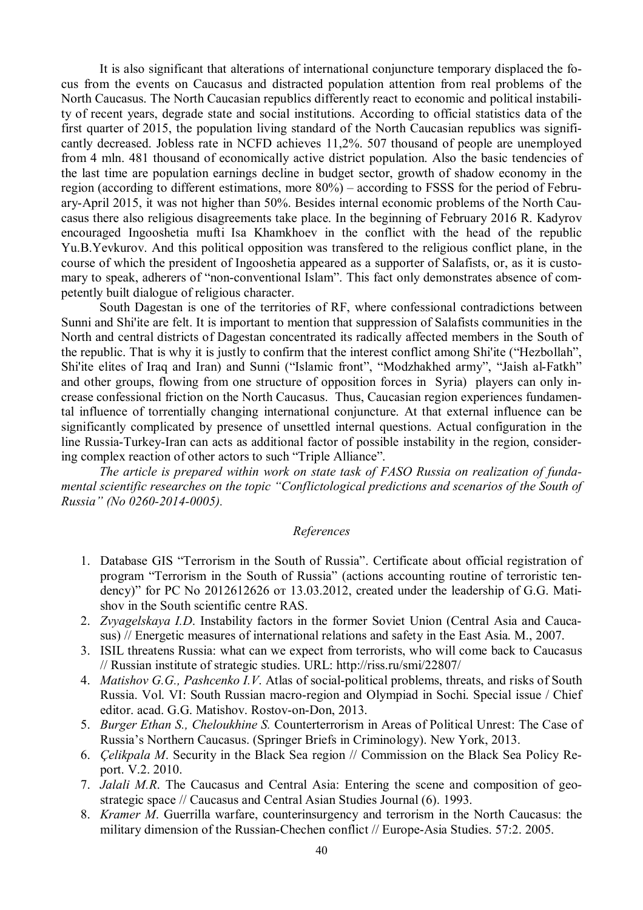It is also significant that alterations of international conjuncture temporary displaced the focus from the events on Caucasus and distracted population attention from real problems of the North Caucasus. The North Caucasian republics differently react to economic and political instability of recent years, degrade state and social institutions. According to official statistics data of the first quarter of 2015, the population living standard of the North Caucasian republics was significantly decreased. Jobless rate in NCFD achieves 11,2%. 507 thousand of people are unemployed from 4 mln. 481 thousand of economically active district population. Also the basic tendencies of the last time are population earnings decline in budget sector, growth of shadow economy in the region (according to different estimations, more 80%) – according to FSSS for the period of February-April 2015, it was not higher than 50%. Besides internal economic problems of the North Caucasus there also religious disagreements take place. In the beginning of February 2016 R. Kadyrov encouraged Ingooshetia mufti Isa Khamkhoev in the conflict with the head of the republic Yu.B.Yevkurov. And this political opposition was transfered to the religious conflict plane, in the course of which the president of Ingooshetia appeared as a supporter of Salafists, or, as it is customary to speak, adherers of "non-conventional Islam". This fact only demonstrates absence of competently built dialogue of religious character.

South Dagestan is one of the territories of RF, where confessional contradictions between Sunni and Shi'ite are felt. It is important to mention that suppression of Salafists communities in the North and central districts of Dagestan concentrated its radically affected members in the South of the republic. That is why it is justly to confirm that the interest conflict among Shi'ite ("Hezbollah", Shi'ite elites of Iraq and Iran) and Sunni ("Islamic front", "Modzhakhed army", "Jaish al-Fatkh" and other groups, flowing from one structure of opposition forces in Syria) players can only increase confessional friction on the North Caucasus. Thus, Caucasian region experiences fundamental influence of torrentially changing international conjuncture. At that external influence can be significantly complicated by presence of unsettled internal questions. Actual configuration in the line Russia-Turkey-Iran can acts as additional factor of possible instability in the region, considering complex reaction of other actors to such "Triple Alliance".

*The article is prepared within work on state task of FASO Russia on realization of fundamental scientific researches on the topic "Conflictological predictions and scenarios of the South of Russia" (No 0260-2014-0005).*

# *References*

- 1. Database GIS "Terrorism in the South of Russia". Certificate about official registration of program "Terrorism in the South of Russia" (actions accounting routine of terroristic tendency)" for PC No 2012612626 от 13.03.2012, created under the leadership of G.G. Matishov in the South scientific centre RAS.
- 2. *Zvyagelskaya I.D*. Instability factors in the former Soviet Union (Central Asia and Caucasus) // Energetic measures of international relations and safety in the East Asia. M., 2007.
- 3. ISIL threatens Russia: what can we expect from terrorists, who will come back to Caucasus // Russian institute of strategic studies. URL: http://riss.ru/smi/22807/
- 4. *Matishov G.G., Pashcenko I.V*. Atlas of social-political problems, threats, and risks of South Russia. Vol. VI: South Russian macro-region and Olympiad in Sochi. Special issue / Chief editor. acad. G.G. Matishov. Rostov-on-Don, 2013.
- 5. *Burger Ethan S., Cheloukhine S.* Counterterrorism in Areas of Political Unrest: The Case of Russia's Northern Caucasus. (Springer Briefs in Criminology). New York, 2013.
- 6. *Çelikpala M*. Security in the Black Sea region // Commission on the Black Sea Policy Report. V.2. 2010.
- 7. *Jalali M.R*. The Caucasus and Central Asia: Entering the scene and composition of geostrategic space // Caucasus and Central Asian Studies Journal (6). 1993.
- 8. *Kramer M*. Guerrilla warfare, counterinsurgency and terrorism in the North Caucasus: the military dimension of the Russian-Chechen conflict // Europe-Asia Studies. 57:2. 2005.